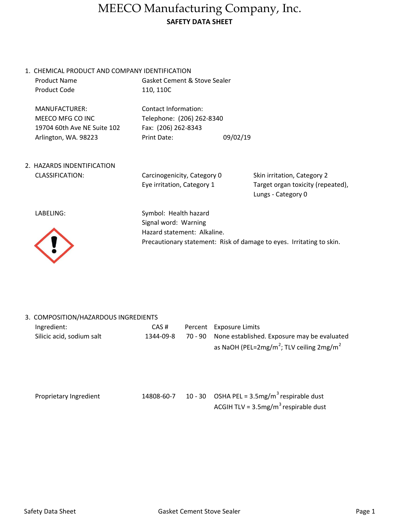## MEECO Manufacturing Company, Inc. SAFETY DATA SHEET

1. CHEMICAL PRODUCT AND COMPANY IDENTIFICATION Product Name

Product Code

Gasket Cement & Stove Sealer 110, 110C

MANUFACTURER: Contact Information: MEECO MFG CO INC Telephone: (206) 262-8340 19704 60th Ave NE Suite 102 Fax: (206) 262-8343

Arlington, WA. 98223 Print Date: 09/02/19

2. HAZARDS INDENTIFICATION CLASSIFICATION:

Carcinogenicity, Category 0 Eye irritation, Category 1

Lungs - Category 0 Skin irritation, Category 2 Target organ toxicity (repeated),

LABELING:



Symbol: Health hazard Signal word: Warning Hazard statement: Alkaline. Precautionary statement: Risk of damage to eyes. Irritating to skin.

| 3. COMPOSITION/HAZARDOUS INGREDIENTS |
|--------------------------------------|
|                                      |

| Ingredient:               | CAS#      | Percent Exposure Limits                                          |
|---------------------------|-----------|------------------------------------------------------------------|
| Silicic acid, sodium salt | 1344-09-8 | 70 - 90 None established. Exposure may be evaluated              |
|                           |           | as NaOH (PEL=2mg/m <sup>2</sup> ; TLV ceiling 2mg/m <sup>2</sup> |

Proprietary Ingredient 14808-60-7 ACGIH TLV =  $3.5$ mg/m<sup>3</sup> respirable dust 10 - 30 OSHA PEL =  $3.5$ mg/m<sup>3</sup> respirable dust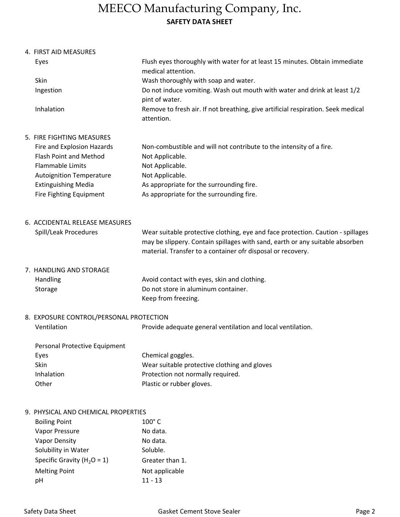## MEECO Manufacturing Company, Inc. SAFETY DATA SHEET

4. FIRST AID MEASURES

| Eyes                            | Flush eyes thoroughly with water for at least 15 minutes. Obtain immediate<br>medical attention. |
|---------------------------------|--------------------------------------------------------------------------------------------------|
| Skin                            | Wash thoroughly with soap and water.                                                             |
| Ingestion                       | Do not induce vomiting. Wash out mouth with water and drink at least 1/2<br>pint of water.       |
| Inhalation                      | Remove to fresh air. If not breathing, give artificial respiration. Seek medical<br>attention.   |
| 5. FIRE FIGHTING MEASURES       |                                                                                                  |
| Fire and Explosion Hazards      | Non-combustible and will not contribute to the intensity of a fire.                              |
| <b>Flash Point and Method</b>   | Not Applicable.                                                                                  |
| <b>Flammable Limits</b>         | Not Applicable.                                                                                  |
| <b>Autoignition Temperature</b> | Not Applicable.                                                                                  |

- Extinguishing Media As appropriate for the surrounding fire.
- Fire Fighting Equipment As appropriate for the surrounding fire.
- 6. ACCIDENTAL RELEASE MEASURES
	- Spill/Leak Procedures

Wear suitable protective clothing, eye and face protection. Caution - spillages may be slippery. Contain spillages with sand, earth or any suitable absorben material. Transfer to a container ofr disposal or recovery.

- 7. HANDLING AND STORAGE Handling Storage Keep from freezing. Do not store in aluminum container. Avoid contact with eyes, skin and clothing.
- 8. EXPOSURE CONTROL/PERSONAL PROTECTION

| Ventilation | Provide adequate general ventilation and local ventilation. |
|-------------|-------------------------------------------------------------|
|             |                                                             |

| Chemical goggles.                            |
|----------------------------------------------|
| Wear suitable protective clothing and gloves |
| Protection not normally required.            |
| Plastic or rubber gloves.                    |
|                                              |

## 9. PHYSICAL AND CHEMICAL PROPERTIES

| <b>Boiling Point</b>            | $100^\circ$ C   |
|---------------------------------|-----------------|
| Vapor Pressure                  | No data.        |
| <b>Vapor Density</b>            | No data.        |
| Solubility in Water             | Soluble.        |
| Specific Gravity ( $H_2O = 1$ ) | Greater than 1. |
| <b>Melting Point</b>            | Not applicable  |
| pН                              | $11 - 13$       |
|                                 |                 |